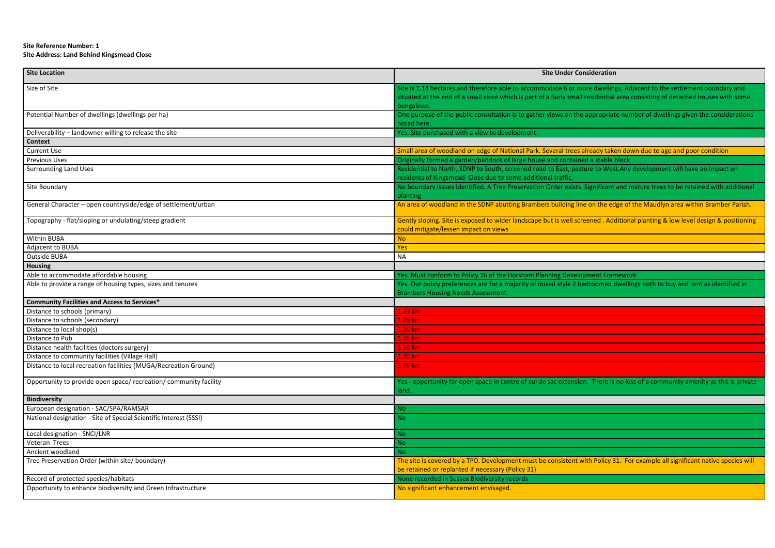## **Site Reference Number: 1 Site Address: Land Behind Kingsmead Close**

| <b>Site Location</b>                                              | <b>Site Under Consideration</b>                                                               |
|-------------------------------------------------------------------|-----------------------------------------------------------------------------------------------|
| Size of Site                                                      | Site is 1.14 hectares and therefore able to accommodate 6 or more dwellings. Adja             |
|                                                                   | situated at the end of a small close which is part of a fairly small residential area co      |
|                                                                   | bungalows.                                                                                    |
| Potential Number of dwellings (dwellings per ha)                  | One purpose of the public consultation is to gather views on the appropriate numl             |
|                                                                   | noted here.                                                                                   |
| Deliverability - landowner willing to release the site            | Yes. Site purchased with a view to development.                                               |
| <b>Context</b>                                                    |                                                                                               |
| <b>Current Use</b>                                                | Small area of woodland on edge of National Park. Several trees already taken dow              |
| <b>Previous Uses</b>                                              | Originally formed a garden/paddock of large house and contained a stable block                |
| <b>Surrounding Land Uses</b>                                      | Residential to North, SDNP to South, screened road to East, pasture to West.Any d             |
|                                                                   | residents of Kingsmead Close due to some additional traffic.                                  |
| Site Boundary                                                     | No boundary issues identified. A Tree Preservation Order exists. Significant and ma           |
|                                                                   | planting                                                                                      |
| General Character - open countryside/edge of settlement/urban     | An area of woodland in the SDNP abutting Brambers building line on the edge of the            |
| Topography - flat/sloping or undulating/steep gradient            | Gently sloping. Site is exposed to wider landscape but is well screened. Additional           |
|                                                                   | could mitigate/lessen impact on views                                                         |
| Within BUBA                                                       | <b>No</b>                                                                                     |
| Adjacent to BUBA                                                  | Yes                                                                                           |
| <b>Outside BUBA</b>                                               | <b>NA</b>                                                                                     |
| <b>Housing</b>                                                    |                                                                                               |
| Able to accommodate affordable housing                            | Yes. Must conform to Policy 16 of the Horsham Planning Development Framework                  |
| Able to provide a range of housing types, sizes and tenures       | Yes. Our policy preferences are for a majority of mixed style 2 bedroomed dwelling            |
|                                                                   | <b>Brambers Housing Needs Assessment.</b>                                                     |
| <b>Community Facilities and Access to Services*</b>               |                                                                                               |
| Distance to schools (primary)                                     | 1.79 km                                                                                       |
| Distance to schools (secondary)                                   | 1.79 km                                                                                       |
| Distance to local shop(s)                                         | 1.26 km                                                                                       |
| Distance to Pub                                                   | 1.26 km                                                                                       |
| Distance health facilities (doctors surgery)                      | 1.50 km                                                                                       |
| Distance to community facilities (Village Hall)                   | 1.40 km                                                                                       |
| Distance to local recreation facilities (MUGA/Recreation Ground)  | 1.56 km                                                                                       |
|                                                                   |                                                                                               |
| Opportunity to provide open space/ recreation/ community facility | Yes - opportunity for open space in centre of cul de sac extension. There is no loss<br>land. |
| <b>Biodiversity</b>                                               |                                                                                               |
| European designation - SAC/SPA/RAMSAR                             | <b>No</b>                                                                                     |
| National designation - Site of Special Scientific Interest (SSSI) | <b>No</b>                                                                                     |
| Local designation - SNCI/LNR                                      | No.                                                                                           |
| Veteran Trees                                                     | <b>No</b>                                                                                     |
| Ancient woodland                                                  | <b>No</b>                                                                                     |
| Tree Preservation Order (within site/ boundary)                   | The site is covered by a TPO. Development must be consistent with Policy 31. For              |
|                                                                   | be retained or replanted if necessary (Policy 31)                                             |
| Record of protected species/habitats                              | None recorded in Sussex Biodiversity records                                                  |
| Opportunity to enhance biodiversity and Green Infrastructure      | No significant enhancement envisaged.                                                         |
|                                                                   |                                                                                               |

Size dwellings. Adjacent to the settlement boundary and residential area consisting of detached houses with some

appropriate number of dwellings given the considerations

already taken down due to age and poor condition

are to West. Any development will have an impact on

 $S$ ignificant and mature trees to be retained with additional

e on the edge of the Maudlyn area within Bramber Parish.

Theorical . Additional planting & low level design & positioning

droomed dwellings both to buy and rent as identified in

There is no loss of a community amenity as this is private

vith Policy 31. For example all significant native species will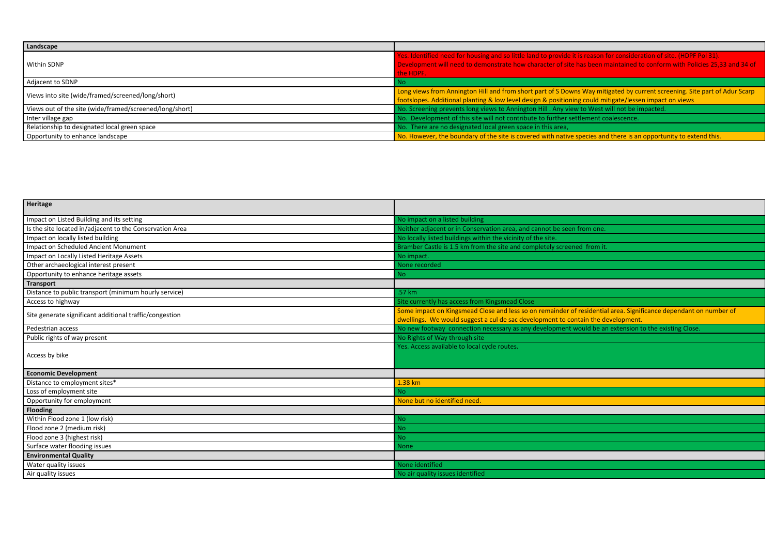| Landscape                                               |                                                                                          |
|---------------------------------------------------------|------------------------------------------------------------------------------------------|
|                                                         | Yes. Identified need for housing and so little land to provide it is reason for consider |
| Within SDNP                                             | Development will need to demonstrate how character of site has been maintained to        |
|                                                         | the HDPF.                                                                                |
| Adjacent to SDNP                                        | l No                                                                                     |
| Views into site (wide/framed/screened/long/short)       | Long views from Annington Hill and from short part of S Downs Way mitigated by cu        |
|                                                         | footslopes. Additional planting & low level design & positioning could mitigate/lesse    |
| Views out of the site (wide/framed/screened/long/short) | No. Screening prevents long views to Annington Hill . Any view to West will not be in    |
| Inter village gap                                       | No. Development of this site will not contribute to further settlement coalescence.      |
| Relationship to designated local green space            | No. There are no designated local green space in this area,                              |
| Opportunity to enhance landscape                        | No. However, the boundary of the site is covered with native species and there is an     |

| Heritage                                                 |                                                                                                                                                                                                      |
|----------------------------------------------------------|------------------------------------------------------------------------------------------------------------------------------------------------------------------------------------------------------|
| Impact on Listed Building and its setting                | No impact on a listed building                                                                                                                                                                       |
| Is the site located in/adjacent to the Conservation Area | Neither adjacent or in Conservation area, and cannot be seen from one.                                                                                                                               |
| Impact on locally listed building                        | No locally listed buildings within the vicinity of the site.                                                                                                                                         |
| Impact on Scheduled Ancient Monument                     | Bramber Castle is 1.5 km from the site and completely screened from it.                                                                                                                              |
| Impact on Locally Listed Heritage Assets                 | No impact.                                                                                                                                                                                           |
| Other archaeological interest present                    | None recorded                                                                                                                                                                                        |
| Opportunity to enhance heritage assets                   | No.                                                                                                                                                                                                  |
| <b>Transport</b>                                         |                                                                                                                                                                                                      |
| Distance to public transport (minimum hourly service)    | .57 km                                                                                                                                                                                               |
| Access to highway                                        | Site currently has access from Kingsmead Close                                                                                                                                                       |
| Site generate significant additional traffic/congestion  | Some impact on Kingsmead Close and less so on remainder of residential area. Significance dependant on number of<br>dwellings. We would suggest a cul de sac development to contain the development. |
| Pedestrian access                                        | No new footway connection necessary as any development would be an extension to the existing Close.                                                                                                  |
| Public rights of way present                             | No Rights of Way through site                                                                                                                                                                        |
| Access by bike                                           | Yes. Access available to local cycle routes.                                                                                                                                                         |
| <b>Economic Development</b>                              |                                                                                                                                                                                                      |
| Distance to employment sites*                            | 1.38 km                                                                                                                                                                                              |
| Loss of employment site                                  | No                                                                                                                                                                                                   |
| Opportunity for employment                               | None but no identified need                                                                                                                                                                          |
| <b>Flooding</b>                                          |                                                                                                                                                                                                      |
| Within Flood zone 1 (low risk)                           | No.                                                                                                                                                                                                  |
| Flood zone 2 (medium risk)                               | No.                                                                                                                                                                                                  |
| Flood zone 3 (highest risk)                              | <b>No</b>                                                                                                                                                                                            |
| Surface water flooding issues                            | <b>None</b>                                                                                                                                                                                          |
| <b>Environmental Quality</b>                             |                                                                                                                                                                                                      |
| Water quality issues                                     | None identified                                                                                                                                                                                      |
| Air quality issues                                       | No air quality issues identified                                                                                                                                                                     |

eason for consideration of site. (HDPF Pol 31).  $s$  been maintained to conform with Policies 25,33 and 34 of

Way mitigated by current screening. Site part of Adur Scarp fould mitigate/lessen impact on views West will not be impacted.

ecies and there is an opportunity to extend this.

| m one.                                                                    |
|---------------------------------------------------------------------------|
|                                                                           |
| from it.                                                                  |
|                                                                           |
|                                                                           |
|                                                                           |
|                                                                           |
|                                                                           |
| sidential area. Significance dependant on number of<br>n the development. |
| Id be an extension to the existing Close.                                 |
|                                                                           |
|                                                                           |
|                                                                           |
|                                                                           |
|                                                                           |
|                                                                           |
|                                                                           |
|                                                                           |
|                                                                           |
|                                                                           |
|                                                                           |
|                                                                           |
|                                                                           |
|                                                                           |